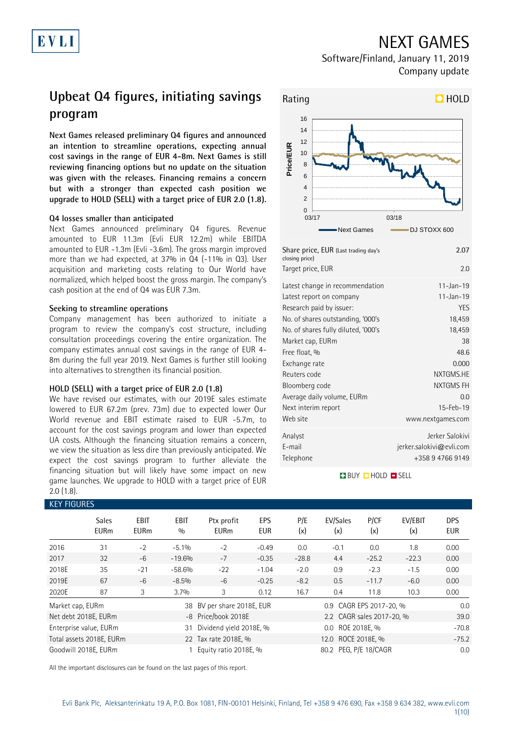# NEXT GAMES

Software/Finland, January 11, 2019 Company update

# **Upbeat Q4 figures, initiating savings program**

**Next Games released preliminary Q4 figures and announced an intention to streamline operations, expecting annual cost savings in the range of EUR 4-8m. Next Games is still reviewing financing options but no update on the situation was given with the releases. Financing remains a concern but with a stronger than expected cash position we upgrade to HOLD (SELL) with a target price of EUR 2.0 (1.8).**

### **Q4 losses smaller than anticipated**

Next Games announced preliminary Q4 figures. Revenue amounted to EUR 11.3m (Evli EUR 12.2m) while EBITDA amounted to EUR -1.3m (Evli -3.6m). The gross margin improved more than we had expected, at 37% in Q4 (-11% in Q3). User acquisition and marketing costs relating to Our World have normalized, which helped boost the gross margin. The company's cash position at the end of Q4 was EUR 7.3m.

### **Seeking to streamline operations**

Company management has been authorized to initiate a program to review the company's cost structure, including consultation proceedings covering the entire organization. The company estimates annual cost savings in the range of EUR 4- 8m during the full year 2019. Next Games is further still looking into alternatives to strengthen its financial position.

### **HOLD (SELL) with a target price of EUR 2.0 (1.8)**

We have revised our estimates, with our 2019E sales estimate lowered to EUR 67.2m (prev. 73m) due to expected lower Our World revenue and EBIT estimate raised to EUR -5.7m, to account for the cost savings program and lower than expected UA costs. Although the financing situation remains a concern, we view the situation as less dire than previously anticipated. We expect the cost savings program to further alleviate the financing situation but will likely have some impact on new game launches. We upgrade to HOLD with a target price of EUR 2.0 (1.8).

### **EV FIGURE**

| KET FIUURES                 |                     |                          |                           |                   |                                                                                                                               |                 |             |                                        |                                                                               |
|-----------------------------|---------------------|--------------------------|---------------------------|-------------------|-------------------------------------------------------------------------------------------------------------------------------|-----------------|-------------|----------------------------------------|-------------------------------------------------------------------------------|
| <b>Sales</b><br><b>EURm</b> | EBIT<br><b>EURm</b> | <b>EBIT</b><br>0/0       | Ptx profit<br><b>EURm</b> | EPS<br><b>EUR</b> | P/E<br>(x)                                                                                                                    | EV/Sales<br>(x) | P/CF<br>(x) | EV/EBIT<br>(x)                         | <b>DPS</b><br><b>EUR</b>                                                      |
| 31                          | $-2$                | $-5.1%$                  | $-2$                      | $-0.49$           | 0.0                                                                                                                           | $-0.1$          | 0.0         | 1.8                                    | 0.00                                                                          |
| 32                          | $-6$                | $-19.6%$                 | $-7$                      | $-0.35$           | $-28.8$                                                                                                                       | 4.4             | $-25.2$     | $-22.3$                                | 0.00                                                                          |
| 35                          | $-21$               | $-58.6%$                 | $-22$                     | $-1.04$           | $-2.0$                                                                                                                        | 0.9             | $-2.3$      | $-1.5$                                 | 0.00                                                                          |
| 67                          | $-6$                | $-8.5%$                  | $-6$                      | $-0.25$           | $-8.2$                                                                                                                        | 0.5             | $-11.7$     | $-6.0$                                 | 0.00                                                                          |
| 87                          | 3                   | 3.7%                     | 3                         | 0.12              | 16.7                                                                                                                          | 0.4             | 11.8        | 10.3                                   | 0.00                                                                          |
| Market cap, EURm            |                     |                          |                           |                   |                                                                                                                               |                 |             |                                        | 0.0                                                                           |
| Net debt 2018E, EURm        |                     |                          |                           |                   |                                                                                                                               |                 |             |                                        | 39.0                                                                          |
| Enterprise value, EURm      |                     | 31                       |                           |                   |                                                                                                                               |                 |             |                                        | $-70.8$                                                                       |
|                             |                     |                          |                           |                   |                                                                                                                               |                 |             |                                        | $-75.2$                                                                       |
| Goodwill 2018E, EURm        |                     |                          |                           |                   |                                                                                                                               |                 |             |                                        | 0.0                                                                           |
|                             |                     | Total assets 2018E, EURm |                           |                   | 38 BV per share 2018E, EUR<br>-8 Price/book 2018E<br>Dividend yield 2018E, %<br>22 Tax rate 2018E, %<br>Equity ratio 2018E, % |                 |             | 0.0 ROE 2018E, %<br>12.0 ROCE 2018E, % | 0.9 CAGR EPS 2017-20, %<br>2.2 CAGR sales 2017-20, %<br>80.2 PEG, P/E 18/CAGR |

All the important disclosures can be found on the last pages of this report.



| Share price, EUR (Last trading day's<br>closing price) | 2.07                        |
|--------------------------------------------------------|-----------------------------|
| Target price, EUR                                      | 2.0                         |
| Latest change in recommendation                        | $11 - Jan - 19$             |
| Latest report on company                               | $11 - Jan - 19$             |
| Research paid by issuer:                               | <b>YES</b>                  |
| No. of shares outstanding, '000's                      | 18,459                      |
| No. of shares fully diluted, '000's                    | 18,459                      |
| Market cap, EURm                                       | 38                          |
| Free float, %                                          | 48.6                        |
| Exchange rate                                          | 0.000                       |
| Reuters code                                           | NXTGMS.HE                   |
| Bloomberg code                                         | NXTGMS FH                   |
| Average daily volume, EURm                             | 0.0                         |
| Next interim report                                    | $15 - Feb - 19$             |
| Web site                                               | www.nextgames.com           |
| Analyst                                                | Jerker Salokivi             |
| E-mail                                                 | $j$ erker.salokivi@evli.com |
| Telephone                                              | +358 9 4766 9149            |

### **BUY QHOLD SELL**

Evli Bank Plc, Aleksanterinkatu 19 A, P.O. Box 1081, FIN-00101 Helsinki, Finland, Tel +358 9 476 690, Fax +358 9 634 382, [www.evli.com](http://www.evli.com/) 1(10)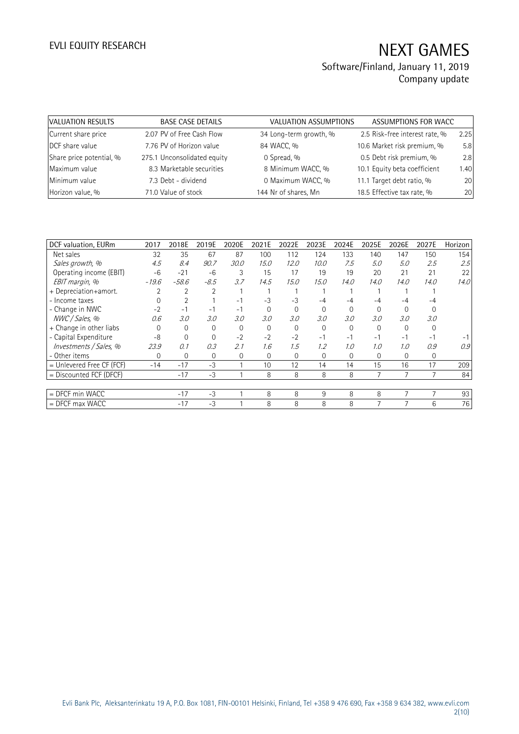| VALUATION RESULTS        | <b>BASE CASE DETAILS</b>    | VALUATION ASSUMPTIONS  | ASSUMPTIONS FOR WACC           |      |
|--------------------------|-----------------------------|------------------------|--------------------------------|------|
| Current share price      | 2.07 PV of Free Cash Flow   | 34 Long-term growth, % | 2.5 Risk-free interest rate, % | 2.25 |
| DCF share value          | 7.76 PV of Horizon value    | 84 WACC, %             | 10.6 Market risk premium, %    | 5.8  |
| Share price potential, % | 275.1 Unconsolidated equity | 0 Spread, %            | 0.5 Debt risk premium, %       | 2.8  |
| Maximum value            | 8.3 Marketable securities   | 8 Minimum WACC, %      | 10.1 Equity beta coefficient   | 1.40 |
| Minimum value            | 7.3 Debt - dividend         | 0 Maximum WACC, %      | 11.1 Target debt ratio, %      | 20   |
| Horizon value, %         | 71.0 Value of stock         | 144 Nr of shares, Mn   | 18.5 Effective tax rate, %     | 20   |

| DCF valuation, EURm       | 2017     | 2018E          | 2019E    | 2020E    | 2021E          | 2022E    | 2023E    | 2024E    | 2025E       | 2026E    | 2027E    | Horizon |
|---------------------------|----------|----------------|----------|----------|----------------|----------|----------|----------|-------------|----------|----------|---------|
| Net sales                 | 32       | 35             | 67       | 87       | 100            | 112      | 124      | 133      | 140         | 147      | 150      | 154     |
| Sales growth, %           | 4.5      | 8.4            | 90.7     | 30.0     | 15.0           | 12.0     | 10.0     | 7.5      | 5.0         | 5.0      | 2.5      | 2.5     |
| Operating income (EBIT)   | $-6$     | $-21$          | $-6$     | 3        | 15             | 17       | 19       | 19       | 20          | 21       | 21       | 22      |
| EBIT margin, %            | $-19.6$  | $-58.6$        | $-8.5$   | 3.7      | 14.5           | 15.0     | 15.0     | 14.0     | 14.0        | 14.0     | 14.0     | 14.0    |
| + Depreciation+amort.     |          |                | 2        |          |                |          |          |          |             |          |          |         |
| - Income taxes            |          |                |          | $-1$     | $-3$           | $-3$     | $-4$     | -4       | -4          | -4       | -4       |         |
| - Change in NWC           | $-2$     | $-1$           | $-1$     | $-1$     | $\overline{0}$ | $\Omega$ | $\Omega$ | $\Omega$ | $\Omega$    | $\Omega$ |          |         |
| NWC / Sales, %            | 0.6      | 3.0            | 3.0      | 3.0      | 3.0            | 3.0      | 3.0      | 3.0      | 3.0         | 3.0      | 3.0      |         |
| + Change in other liabs   | $\Omega$ | $\Omega$       | $\Omega$ | $\Omega$ | $\Omega$       | $\Omega$ | $\Omega$ | $\Omega$ | $\Omega$    | $\Omega$ | $\Omega$ |         |
| - Capital Expenditure     | $-8$     | 0              | $\Omega$ | $-2$     | $-2$           | $-2$     | $-1$     | $-1$     | $-1$        | $-1$     | $-1$     |         |
| Investments / Sales, %    | 23.9     | 0.1            | 0.3      | 2.1      | 1.6            | 1.5      | 1.2      | 1.0      | 1.0         | 1.0      | 0.9      | 0.9     |
| - Other items             | $\Omega$ | $\overline{0}$ | $\Omega$ | 0        | $\Omega$       | $\Omega$ | 0        | $\Omega$ | $\mathbf 0$ | $\Omega$ | 0        |         |
| = Unlevered Free CF (FCF) | $-14$    | $-17$          | $-3$     |          | 10             | 12       | 14       | 14       | 15          | 16       | 17       | 209     |
| = Discounted FCF (DFCF)   |          | $-17$          | $-3$     |          | 8              | 8        | 8        | 8        | 7           |          |          | 84      |
|                           |          |                |          |          |                |          |          |          |             |          |          |         |
| = DFCF min WACC           |          | $-17$          | $-3$     |          | 8              | 8        | 9        | 8        | 8           | 7        | 7        | 93      |
| $=$ DFCF max WACC         |          | $-17$          | $-3$     |          | 8              | 8        | 8        | 8        |             |          | 6        | 76      |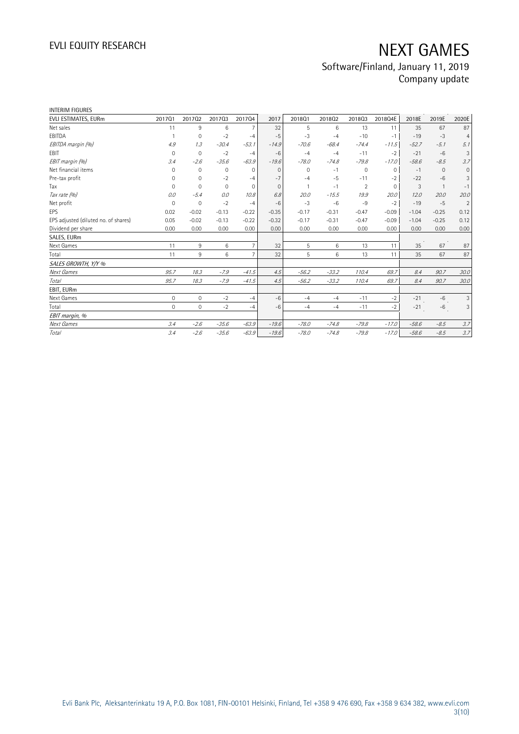| <b>INTERIM FIGURES</b>               |              |                |             |                |              |          |         |                     |             |         |          |                |
|--------------------------------------|--------------|----------------|-------------|----------------|--------------|----------|---------|---------------------|-------------|---------|----------|----------------|
| EVLI ESTIMATES, EURm                 | 201701       | 201702         | 201703      | 201704         | 2017         | 2018Q1   | 201802  | 201803              | 2018Q4E     | 2018E   | 2019E    | 2020E          |
| Net sales                            | 11           | 9              | 6           | $\overline{7}$ | 32           | 5        | 6       | 13                  | 11          | 35      | 67       | 87             |
| EBITDA                               | $\mathbf{1}$ | $\mathbf 0$    | $-2$        | $-4$           | $-5$         | $-3$     | $-4$    | $-10$               | $-1$        | $-19$   | $-3$     | $\overline{4}$ |
| EBITDA margin (%)                    | 4.9          | 1.3            | $-30.4$     | $-53.1$        | $-14.9$      | $-70.6$  | $-68.4$ | $-74.4$             | $-11.5$     | $-52.7$ | $-5.1$   | 5.1            |
| EBIT                                 | $\mathbf{0}$ | $\overline{0}$ | $-2$        | $-4$           | $-6$         | $-4$     | $-4$    | $-11$               | $-2$        | $-21$   | $-6$     | 3              |
| EBIT margin (%)                      | 3.4          | $-2.6$         | $-35.6$     | $-63.9$        | $-19.6$      | $-78.0$  | $-74.8$ | $-79.8$             | $-17.0$     | $-58.6$ | $-8.5$   | 3.7            |
| Net financial items                  | $\Omega$     | $\mathbf 0$    | $\mathbf 0$ | $\mathbf{0}$   | $\Omega$     | $\Omega$ | $-1$    | $\mathsf{O}\xspace$ | $\mathbf 0$ | $-1$    | $\Omega$ | 0              |
| Pre-tax profit                       | $\Omega$     | $\mathbf 0$    | $-2$        | $-4$           | $-7$         | $-4$     | $-5$    | $-11$               | $-2$        | $-22$   | $-6$     | 3              |
| Tax                                  | 0            | $\Omega$       | $\mathbf 0$ | 0              | $\mathbf{0}$ |          | $-1$    | $\overline{2}$      | $\Omega$    | 3       |          | $-1$           |
| Tax rate (%)                         | 0.0          | $-5.4$         | 0.0         | 10.8           | 6.8          | 20.0     | $-15.5$ | 19.9                | 20.0        | 12.0    | 20.0     | 20.0           |
| Net profit                           | $\mathbf 0$  | $\mathbf 0$    | $-2$        | $-4$           | $-6$         | $-3$     | $-6$    | $-9$                | $-2$        | $-19$   | $-5$     | $\overline{2}$ |
| EPS                                  | 0.02         | $-0.02$        | $-0.13$     | $-0.22$        | $-0.35$      | $-0.17$  | $-0.31$ | $-0.47$             | $-0.09$     | $-1.04$ | $-0.25$  | 0.12           |
| EPS adjusted (diluted no. of shares) | 0.05         | $-0.02$        | $-0.13$     | $-0.22$        | $-0.32$      | $-0.17$  | $-0.31$ | $-0.47$             | $-0.09$     | $-1.04$ | $-0.25$  | 0.12           |
| Dividend per share                   | 0.00         | 0.00           | 0.00        | 0.00           | 0.00         | 0.00     | 0.00    | 0.00                | 0.00        | 0.00    | 0.00     | 0.00           |
| SALES, EURm                          |              |                |             |                |              |          |         |                     |             |         |          |                |
| Next Games                           | 11           | 9              | 6           | $\overline{7}$ | 32           | 5        | 6       | 13                  | 11          | 35      | 67       | 87             |
| Total                                | 11           | 9              | 6           | $\overline{7}$ | 32           | 5        | 6       | 13                  | 11          | 35      | 67       | 87             |
| SALES GROWTH, Y/Y %                  |              |                |             |                |              |          |         |                     |             |         |          |                |
| Next Games                           | 95.7         | 18.3           | $-7.9$      | $-41.5$        | 4.5          | $-56.2$  | $-33.2$ | 110.4               | 69.7        | 8.4     | 90.7     | 30.0           |
| Total                                | 95.7         | 18.3           | $-7.9$      | $-41.5$        | 4.5          | $-56.2$  | $-33.2$ | 110.4               | 69.7        | 8.4     | 90.7     | 30.0           |
| EBIT, EURm                           |              |                |             |                |              |          |         |                     |             |         |          |                |
| Next Games                           | $\mathbf 0$  | $\mathbf{0}$   | $-2$        | $-4$           | $-6$         | $-4$     | $-4$    | $-11$               | $-2$        | $-21$   | $-6$     | 3              |
| Total                                | $\mathbf 0$  | $\mathbf{0}$   | $-2$        | $-4$           | $-6$         | $-4$     | $-4$    | $-11$               | $-2$        | $-21$   | $-6$     | 3              |
| EBIT margin, %                       |              |                |             |                |              |          |         |                     |             |         |          |                |
| Next Games                           | 3.4          | $-2.6$         | $-35.6$     | $-63.9$        | $-19.6$      | $-78.0$  | $-74.8$ | $-79.8$             | $-17.0$     | $-58.6$ | $-8.5$   | 3.7            |
| Total                                | 3.4          | $-2.6$         | $-35.6$     | $-63.9$        | $-19.6$      | $-78.0$  | $-74.8$ | $-79.8$             | $-17.0$     | $-58.6$ | $-8.5$   | 3.7            |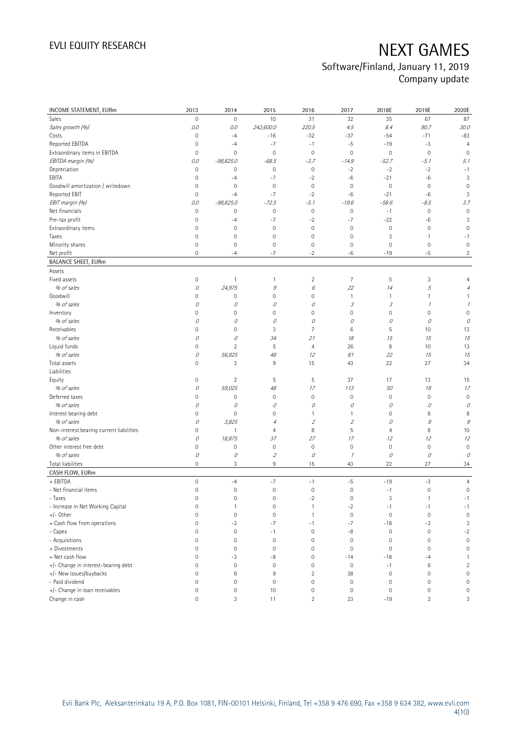| <b>INCOME STATEMENT, EURm</b>            | 2013                | 2014                      | 2015                | 2016                      | 2017                        | 2018E                      | 2019E                              | 2020E               |
|------------------------------------------|---------------------|---------------------------|---------------------|---------------------------|-----------------------------|----------------------------|------------------------------------|---------------------|
| Sales                                    | $\mathsf{O}\xspace$ | $\mathbf 0$               | 10                  | 31                        | 32                          | 35                         | 67                                 | 87                  |
| Sales growth (%)                         | 0.0                 | 0.0                       | 242,600.0           | 220.5                     | 4.5                         | 8.4                        | 90.7                               | 30.0                |
| Costs                                    | $\mathbf 0$         | $-4$                      | $-16$               | $-32$                     | $-37$                       | $-54$                      | $-71$                              | $-83$               |
| Reported EBITDA                          | $\mathsf{O}\xspace$ | $-4$                      | $-7$                | $-1$                      | $-5$                        | $-19$                      | $-3$                               | $\overline{4}$      |
| Extraordinary items in EBITDA            | $\mathsf{O}\xspace$ | $\mathbf 0$               | $\mathbf 0$         | $\mathbf 0$               | $\mathsf{O}\xspace$         | $\mathbb O$                | $\mathbf 0$                        | $\mathbf 0$         |
| EBITDA margin (%)                        | 0.0                 | $-98,825.0$               | $-68.5$             | $-3.7$                    | $-14.9$                     | $-52.7$                    | $-5.1$                             | 5.1                 |
| Depreciation                             | $\mathsf{O}\xspace$ | $\mathbf 0$               | $\mathsf{O}\xspace$ | $\mathbf 0$               | $-2$                        | $-2$                       | $-2$                               | $-1$                |
| EBITA                                    | $\mathsf{O}\xspace$ | $-4$                      | $-7$                | $-2$                      | -6                          | $-21$                      | $-6$                               | 3                   |
| Goodwill amortization / writedown        | $\mathsf{O}\xspace$ | $\mathbf 0$               | $\mathsf{O}\xspace$ | $\mathbf 0$               | $\mathbf 0$                 | $\mathsf{O}\xspace$        | $\mathbf 0$                        | $\mathbf 0$         |
| Reported EBIT                            | 0                   | $-4$                      | $-7$                | $-2$                      | $-6$                        | $-21$                      | $-6$                               | 3                   |
| EBIT margin (%)                          | 0.0                 | $-98,825.0$               | $-72.5$             | $-5.1$                    | $-19.6$                     | $-58.6$                    | $-8.5$                             | 3.7                 |
| Net financials                           | $\mathsf{O}\xspace$ | 0                         | $\mathbf 0$         | $\mathbb O$               | $\mathbf 0$                 | $-1$                       | $\mathbf 0$                        | $\mathbf 0$         |
| Pre-tax profit                           | 0                   | $-4$                      | $-7$                | $-2$                      | $-7$                        | $-22$                      | -6                                 | 3                   |
| Extraordinary items                      | 0                   | $\mathbf 0$               | $\mathbf 0$         | $\mathsf{O}\xspace$       | $\mathbf 0$                 | $\mathsf{O}\xspace$        | $\mathbf 0$                        | $\mathbf 0$         |
| Taxes                                    | $\mathsf{O}\xspace$ | $\mathbf 0$               | $\mathbb O$         | $\mathbf 0$               | $\mathbb O$                 | 3                          | $\mathbf{1}$                       | $-1$                |
| Minority shares                          | $\mathsf{O}\xspace$ | $\mathbf 0$               | $\mathsf{O}\xspace$ | 0                         | $\mathbf 0$                 | $\mathsf{O}\xspace$        | $\mathbf 0$                        | $\mathbf 0$         |
| Net profit                               | $\mathbf 0$         | $-4$                      | $-7$                | $-2$                      | -6                          | $-19$                      | $-5$                               | $\overline{c}$      |
| <b>BALANCE SHEET, EURm</b>               |                     |                           |                     |                           |                             |                            |                                    |                     |
| Assets                                   |                     |                           |                     |                           |                             |                            |                                    |                     |
| Fixed assets                             | 0                   | $\mathbf{1}$              | 1                   | $\overline{2}$            | $\overline{7}$              | 5                          | 3                                  | $\overline{4}$      |
| % of sales                               | 0                   | 24,975                    | $\mathcal G$        | $\boldsymbol{\mathit{6}}$ | 22                          | 14                         | 5                                  | $\overline{4}$      |
| Goodwill                                 | 0                   | $\mathbf 0$               | $\mathsf{O}\xspace$ | 0                         | $\mathbf{1}$                | $\mathbf{1}$               | $\mathbf{1}$                       | $\mathbf{1}$        |
| % of sales                               | 0                   | 0                         | 0                   | 0                         | $\mathcal{S}_{\mathcal{S}}$ | $\ensuremath{\mathcal{S}}$ | $\mathcal I$                       | $\mathcal I$        |
| Inventory                                | 0                   | $\mathbf 0$               | $\mathsf{O}\xspace$ | 0                         | $\mathbf 0$                 | $\mathsf{O}\xspace$        | $\mathbf 0$                        | $\mathbf 0$         |
| % of sales                               | 0                   | 0                         | 0                   | 0                         | 0                           | 0                          | 0                                  | 0                   |
| Receivables                              | 0                   | $\mathbf 0$               | 3                   | 7                         | 6                           | 5                          | 10                                 | 13                  |
| % of sales                               | 0                   | 0                         | 34                  | 21                        | 18                          | 15                         | 15                                 | 15                  |
| Liquid funds                             | $\overline{0}$      | $\overline{2}$            | 5                   | 4                         | 26                          | 8                          | 10                                 | 13                  |
| % of sales                               | 0                   | 56,825                    | 48                  | 12                        | 81                          | 22                         | 15                                 | 15                  |
| Total assets                             | $\mathbf 0$         | 3                         | 9                   | 15                        | 43                          | 22                         | 27                                 | 34                  |
| Liabilities                              |                     |                           |                     |                           |                             |                            |                                    |                     |
| Equity                                   | $\mathsf{O}\xspace$ | $\sqrt{2}$                | 5                   | 5                         | 37                          | 17                         | 13                                 | 15                  |
| % of sales                               | 0                   | 59,025                    | $48\,$              | 17                        | 113                         | 50                         | 19                                 | 17                  |
| Deferred taxes                           | 0                   | $\mathbf 0$               | $\mathbf 0$         | $\mathsf{O}\xspace$       | $\mathbf 0$                 | $\mathsf{O}\xspace$        | $\mathbf 0$                        | $\mathbf 0$         |
| % of sales                               | 0                   | 0                         | 0                   | 0                         | 0                           | 0                          | 0                                  | 0                   |
| Interest bearing debt                    | 0                   | $\mathbf 0$               | $\mathsf 0$         | 1                         | $\mathbf{1}$                | $\mathsf{O}\xspace$        | 6                                  | 8                   |
| % of sales                               | 0                   | 3,825                     | $\overline{4}$      | $\mathfrak z$             | $\overline{2}$              | 0                          | 9                                  | $\mathcal G$        |
| Non-interest bearing current liabilities | 0                   | $\mathbf{1}$              | $\overline{4}$      | 8                         | 5                           | $\overline{4}$             | 8                                  | 10                  |
| % of sales                               | 0                   | 18,875                    | 37                  | 27                        | 17                          | 12                         | 12                                 | 12                  |
| Other interest free debt                 | $\mathsf 0$         | $\mathbf 0$               | $\mathsf 0$         | $\mathbf 0$               | $\mathbf 0$                 | $\mathsf{O}\xspace$        | $\mathbf 0$                        | $\mathbf 0$         |
| % of sales                               | 0                   | 0                         | $\sqrt{2}$          | 0                         | $\mathcal I$                | 0                          | 0                                  | 0                   |
| <b>Total liabilities</b>                 | $\mathsf{O}\xspace$ | $\ensuremath{\mathsf{3}}$ | 9                   | 15                        | 43                          | 22                         | 27                                 | 34                  |
| CASH FLOW, EURm                          |                     |                           |                     |                           |                             |                            |                                    |                     |
| + EBITDA                                 | $\mathsf{O}\xspace$ | $-4$                      | $-7$                | $-1$                      | $-5$                        | $-19$                      | $-3$                               | $\overline{4}$      |
| - Net financial items                    | $\mathsf{O}\xspace$ | $\mathbf 0$               | $\mathbf 0$         | $\mathsf{O}\xspace$       | $\mathsf{O}\xspace$         | $-1$                       | $\mathbf 0$                        | $\mathsf{O}\xspace$ |
| - Taxes                                  | 0                   | 0                         | 0                   | $-2$                      | 0                           | 3                          | 1                                  | $-1$                |
| - Increase in Net Working Capital        | $\mathsf 0$         | $\mathbf{1}$              | $\mathsf{O}\xspace$ | $\mathbf{1}$              | $-2$                        | $-1$                       | $-1$                               | $-1$                |
| $+/-$ Other                              | $\mathsf{O}\xspace$ | $\mathbf 0$               | $\mathsf{O}\xspace$ | 1                         | $\mathsf{O}\xspace$         | $\mathsf{O}\xspace$        | $\mathbf 0$                        | $\mathbf 0$         |
| = Cash flow from operations              | 0                   | $-3$                      | $-7$                | $-1$                      | $-7$                        | $-18$                      | $-3$                               | 3                   |
| - Capex                                  | 0                   | $\mathbf 0$               | $-1$                | $\mathsf{O}\xspace$       | $-8$                        | $\mathbb O$                | $\mathbf 0$                        | $-2$                |
| - Acquisitions                           | 0                   | $\mathbf 0$               | $\mathbb O$         | 0                         | $\boldsymbol{0}$            | $\mathsf{O}\xspace$        | $\mathbf 0$                        | $\mathsf{O}\xspace$ |
| + Divestments                            | $\mathbf 0$         | $\mathbf 0$               | $\mathbf 0$         | 0                         | $\mathbf 0$                 | $\mathsf{O}\xspace$        | $\mathbf 0$                        | $\mathbf 0$         |
| = Net cash flow                          | $\mathbf 0$         | $-3$                      | -8                  | 0                         | $-14$                       | $-18$                      | $-4$                               | $\mathbf{1}$        |
| +/- Change in interest-bearing debt      | 0                   | $\mathbf 0$               | $\mathbf 0$         | 0                         | $\mathbf 0$                 | $-1$                       | 6                                  | $\sqrt{2}$          |
| +/- New issues/buybacks                  | $\mathbf 0$         | $\,6\,$                   | 9                   | $\overline{c}$            | 38                          | $\mathbb O$                | $\mathbf 0$                        | $\mathsf{O}\xspace$ |
| - Paid dividend                          | 0                   | $\mathbf 0$               | $\mathbf 0$         | 0                         | $\mathbf 0$                 | $\mathsf{O}\xspace$        | $\mathbf 0$                        | $\mathsf{O}\xspace$ |
| +/- Change in loan receivables           | 0                   | $\mathbf 0$               |                     |                           |                             |                            |                                    | $\mathsf{O}\xspace$ |
| Change in cash                           | 0                   | 3                         | 10<br>11            | 0<br>$\overline{2}$       | $\boldsymbol{0}$<br>23      | $\mathbb O$<br>$-19$       | $\boldsymbol{0}$<br>$\overline{2}$ | 3                   |
|                                          |                     |                           |                     |                           |                             |                            |                                    |                     |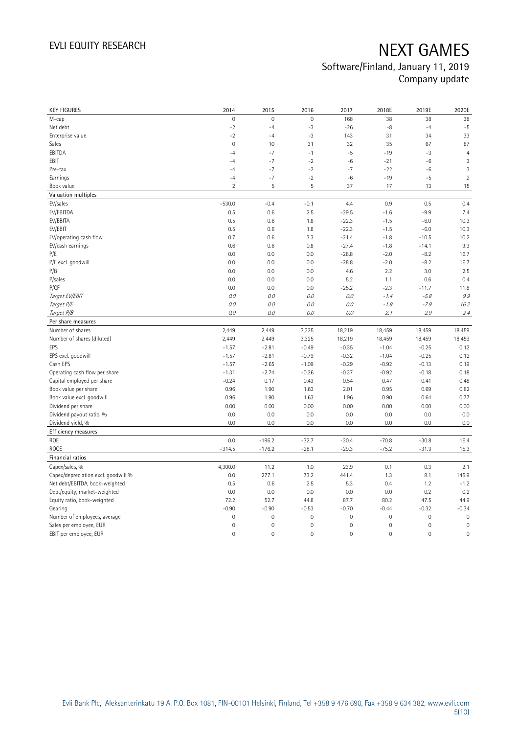| <b>KEY FIGURES</b>                                | 2014                     | 2015                       | 2016                       | 2017                       | 2018E                                      | 2019E                              | 2020E                              |
|---------------------------------------------------|--------------------------|----------------------------|----------------------------|----------------------------|--------------------------------------------|------------------------------------|------------------------------------|
| M-cap                                             | 0                        | $\mathbf 0$                | $\mathbf 0$                | 168                        | 38                                         | 38                                 | 38                                 |
| Net debt                                          | $-2$                     | $-4$                       | $-3$                       | $-26$                      | $-8$                                       | $-4$                               | $-5$                               |
| Enterprise value                                  | $-2$                     | $-4$                       | $-3$                       | 143                        | 31                                         | 34                                 | 33                                 |
| Sales                                             | $\overline{0}$           | 10                         | 31                         | 32                         | 35                                         | 67                                 | 87                                 |
| EBITDA                                            | $-4$                     | $-7$                       | $-1$                       | $-5$                       | $-19$                                      | $-3$                               | $\overline{4}$                     |
| EBIT                                              | $-4$                     | $-7$                       | $-2$                       | $-6$                       | $-21$                                      | $-6$                               | $\sqrt{3}$                         |
| Pre-tax                                           | $-4$                     | $-7$                       | $-2$                       | $-7$                       | $-22$                                      | $-6$                               | 3                                  |
| Earnings                                          | $-4$                     | $-7$                       | $-2$                       | $-6$                       | $-19$                                      | $-5$                               | $\overline{2}$                     |
| Book value                                        | $\overline{2}$           | 5                          | 5                          | 37                         | 17                                         | 13                                 | 15                                 |
| Valuation multiples                               |                          |                            |                            |                            |                                            |                                    |                                    |
| EV/sales                                          | $-530.0$                 | $-0.4$                     | $-0.1$                     | 4.4                        | 0.9                                        | 0.5                                | 0.4                                |
| EV/EBITDA                                         | 0.5                      | 0.6                        | 2.5                        | $-29.5$                    | $-1.6$                                     | $-9.9$                             | 7.4                                |
| EV/EBITA                                          | 0.5                      | 0.6                        | 1.8                        | $-22.3$                    | $-1.5$                                     | $-6.0$                             | 10.3                               |
| EV/EBIT                                           | 0.5                      | 0.6                        | 1.8                        | $-22.3$                    | $-1.5$                                     | $-6.0$                             | 10.3                               |
| EV/operating cash flow                            | 0.7                      | 0.6                        | 3.3                        | $-21.4$                    | $-1.8$                                     | $-10.5$                            | 10.2                               |
| EV/cash earnings                                  | 0.6                      | 0.6                        | 0.8                        | $-27.4$                    | $-1.8$                                     | $-14.1$                            | 9.3                                |
| P/E                                               | 0.0                      | 0.0                        | 0.0                        | $-28.8$                    | $-2.0$                                     | $-8.2$                             | 16.7                               |
| P/E excl. goodwill                                | 0.0                      | 0.0                        | 0.0                        | $-28.8$                    | $-2.0$                                     | $-8.2$                             | 16.7                               |
| P/B                                               | 0.0                      | 0.0                        | 0.0                        | 4.6                        | 2.2                                        | 3.0                                | 2.5                                |
| P/sales                                           | 0.0                      | 0.0                        | 0.0                        | 5.2                        | 1.1                                        | 0.6                                | 0.4                                |
| P/CF                                              | 0.0                      | 0.0                        | 0.0                        | $-25.2$                    | $-2.3$                                     | $-11.7$                            | 11.8                               |
| Target EV/EBIT                                    | 0.0                      | 0.0                        | 0.0                        | 0.0                        | $-1.4$                                     | $-5.8$                             | 9.9                                |
| Target P/E                                        | $O.O$                    | 0.0                        | 0.0                        | $O.O$                      | $-1.9$                                     | $-7.9$                             | 16.2                               |
| Target P/B                                        | $O.O$                    | 0.0                        | 0.0                        | O.O                        | 2.1                                        | 2.9                                | 2.4                                |
| Per share measures                                |                          |                            |                            |                            |                                            |                                    |                                    |
| Number of shares                                  | 2,449                    | 2,449                      | 3,325                      | 18,219                     | 18,459                                     | 18,459                             | 18,459                             |
| Number of shares (diluted)                        | 2,449                    | 2,449                      | 3,325                      | 18,219                     | 18,459                                     | 18,459                             | 18,459                             |
| EPS                                               | $-1.57$                  | $-2.81$                    | $-0.49$                    | $-0.35$                    | $-1.04$                                    | $-0.25$                            | 0.12                               |
| EPS excl. goodwill                                | $-1.57$                  | $-2.81$                    | $-0.79$                    | $-0.32$                    | $-1.04$                                    | $-0.25$                            | 0.12                               |
| Cash EPS                                          | $-1.57$                  | $-2.65$                    | $-1.09$                    | $-0.29$                    | $-0.92$                                    | $-0.13$                            | 0.19                               |
| Operating cash flow per share                     | $-1.31$                  | $-2.74$                    | $-0.26$                    | $-0.37$                    | $-0.92$                                    |                                    | 0.18                               |
|                                                   |                          |                            |                            |                            |                                            |                                    |                                    |
|                                                   |                          |                            |                            |                            |                                            | $-0.18$                            |                                    |
| Capital employed per share                        | $-0.24$                  | 0.17                       | 0.43                       | 0.54                       | 0.47                                       | 0.41                               | 0.48                               |
| Book value per share                              | 0.96                     | 1.90                       | 1.63                       | 2.01                       | 0.95                                       | 0.69                               | 0.82                               |
| Book value excl. goodwill                         | 0.96                     | 1.90                       | 1.63                       | 1.96                       | 0.90                                       | 0.64                               | 0.77                               |
| Dividend per share                                | 0.00                     | 0.00                       | 0.00                       | 0.00                       | 0.00                                       | 0.00                               | 0.00                               |
| Dividend payout ratio, %                          | 0.0                      | 0.0                        | 0.0                        | 0.0                        | 0.0                                        | 0.0                                | 0.0                                |
| Dividend yield, %                                 | 0.0                      | 0.0                        | 0.0                        | 0.0                        | 0.0                                        | 0.0                                | 0.0                                |
| Efficiency measures                               |                          |                            |                            |                            |                                            |                                    |                                    |
| ROE                                               | 0.0                      | $-196.2$                   | $-32.7$                    | $-30.4$                    | $-70.8$                                    | $-30.8$                            | 16.4                               |
| <b>ROCE</b>                                       | $-314.5$                 | $-176.2$                   | $-28.1$                    | $-29.3$                    | $-75.2$                                    | $-31.3$                            | 15.3                               |
| Financial ratios                                  |                          |                            |                            |                            |                                            |                                    |                                    |
| Capex/sales, %                                    | 4,300.0                  | 11.2                       | 1.0                        | 23.9                       | 0.1                                        | 0.3                                | 2.1                                |
| Capex/depreciation excl. goodwill,%               | 0.0                      | 277.1                      | 73.2                       | 441.4                      | 1.3                                        | 8.1                                | 145.9                              |
| Net debt/EBITDA, book-weighted                    | 0.5                      | 0.6                        | 2.5                        | 5.3                        | 0.4                                        | 1.2                                | $-1.2$                             |
| Debt/equity, market-weighted                      | 0.0                      | 0.0                        | 0.0                        | 0.0                        | 0.0                                        | 0.2                                | 0.2                                |
| Equity ratio, book-weighted                       | 72.2                     | 52.7                       | 44.8                       | 87.7                       | 80.2                                       | 47.5                               | 44.9                               |
| Gearing                                           | $-0.90$                  | $-0.90$                    | $-0.53$                    | $-0.70$                    | $-0.44$                                    | $-0.32$                            | $-0.34$                            |
| Number of employees, average                      | $\overline{0}$           | $\mathbf 0$                | $\mathsf{O}\xspace$        | $\mathbf 0$                | 0                                          | $\mathsf{O}\xspace$                | $\mathbf 0$                        |
| Sales per employee, EUR<br>EBIT per employee, EUR | $\mathsf{O}\xspace$<br>0 | $\mathbf 0$<br>$\mathbf 0$ | $\mathbf 0$<br>$\mathbf 0$ | $\mathbb O$<br>$\mathbb O$ | $\mathsf{O}\xspace$<br>$\mathsf{O}\xspace$ | $\mathbf 0$<br>$\mathsf{O}\xspace$ | $\mathbf 0$<br>$\mathsf{O}\xspace$ |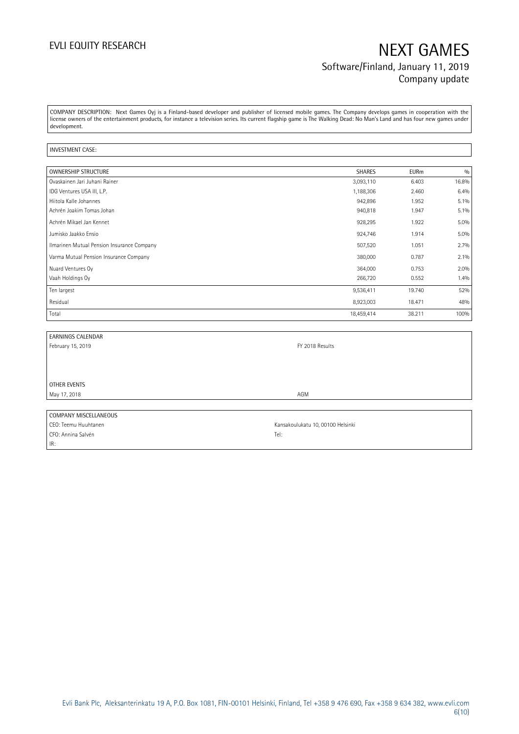## EVLI EQUITY RESEARCH NEXT GAMES Software/Finland, January 11, 2019 Company update

COMPANY DESCRIPTION: Next Games Oyj is a Finland-based developer and publisher of licensed mobile games. The Company develops games in cooperation with the license owners of the entertainment products, for instance a television series. Its current flagship game is The Walking Dead: No Man's Land and has four new games under development.

### INVESTMENT CASE:

| <b>OWNERSHIP STRUCTURE</b>                 | <b>SHARES</b> | <b>EURm</b> | 0/0     |
|--------------------------------------------|---------------|-------------|---------|
| Ovaskainen Jari Juhani Rainer              | 3,093,110     | 6.403       | 16.8%   |
| IDG Ventures USA III, L.P.                 | 1,188,306     | 2.460       | 6.4%    |
| Hiitola Kalle Johannes                     | 942,896       | 1.952       | $5.1\%$ |
| Achrén Joakim Tomas Johan                  | 940,818       | 1.947       | 5.1%    |
| Achrén Mikael Jan Kennet                   | 928,295       | 1.922       | 5.0%    |
| Jumisko Jaakko Ensio                       | 924,746       | 1.914       | 5.0%    |
| Ilmarinen Mutual Pension Insurance Company | 507,520       | 1.051       | 2.7%    |
| Varma Mutual Pension Insurance Company     | 380,000       | 0.787       | $2.1\%$ |
| Nuard Ventures Oy                          | 364,000       | 0.753       | 2.0%    |
| Vaah Holdings Oy                           | 266,720       | 0.552       | 1.4%    |
| Ten largest                                | 9,536,411     | 19.740      | 52%     |
| Residual                                   | 8,923,003     | 18.471      | 48%     |
| Total                                      | 18,459,414    | 38.211      | 100%    |

| <b>EARNINGS CALENDAR</b> |                                   |  |
|--------------------------|-----------------------------------|--|
| February 15, 2019        | FY 2018 Results                   |  |
|                          |                                   |  |
|                          |                                   |  |
|                          |                                   |  |
| OTHER EVENTS             |                                   |  |
| May 17, 2018             | AGM                               |  |
|                          |                                   |  |
| COMPANY MISCELLANEOUS    |                                   |  |
| CEO: Teemu Huuhtanen     | Kansakoulukatu 10, 00100 Helsinki |  |
| CFO: Annina Salvén       | Tel:                              |  |

IR:

Evli Bank Plc, Aleksanterinkatu 19 A, P.O. Box 1081, FIN-00101 Helsinki, Finland, Tel +358 9 476 690, Fax +358 9 634 382, [www.evli.com](http://www.evli.com/) 6(10)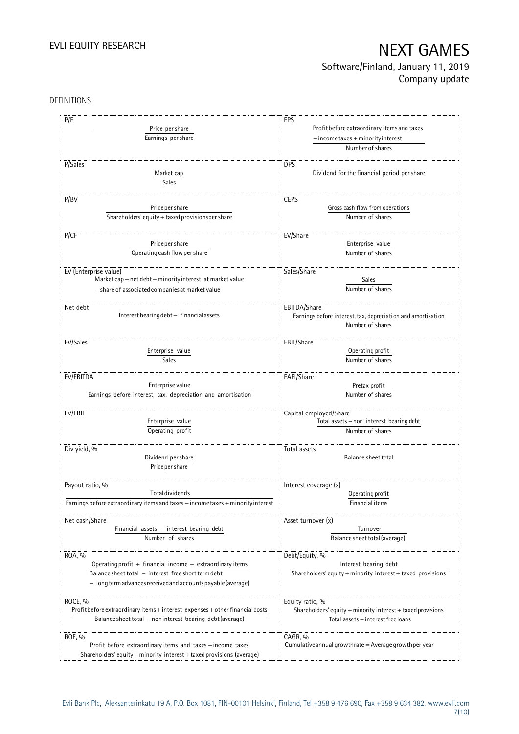## Software/Finland, January 11, 2019 Company update

### DEFINITIONS

| P/E                                                                              | EPS                                                                              |
|----------------------------------------------------------------------------------|----------------------------------------------------------------------------------|
|                                                                                  |                                                                                  |
| Price per share                                                                  | Profit before extraordinary items and taxes                                      |
| Earnings per share                                                               | $-$ income taxes + minority interest                                             |
|                                                                                  | Number of shares                                                                 |
| P/Sales                                                                          | <b>DPS</b>                                                                       |
| Market cap                                                                       | Dividend for the financial period per share                                      |
|                                                                                  |                                                                                  |
| Sales                                                                            |                                                                                  |
| P/BV                                                                             | <b>CEPS</b>                                                                      |
| Price per share                                                                  | Gross cash flow from operations                                                  |
| Shareholders' equity + taxed provisionsper share                                 | Number of shares                                                                 |
|                                                                                  |                                                                                  |
| P/CF                                                                             | EV/Share                                                                         |
| Price per share                                                                  | Enterprise value                                                                 |
| Operating cash flow per share                                                    | Number of shares                                                                 |
|                                                                                  |                                                                                  |
| EV (Enterprise value)                                                            | Sales/Share                                                                      |
| Market cap + net debt + minority interest at market value                        | Sales                                                                            |
| - share of associated companies at market value                                  | Number of shares                                                                 |
|                                                                                  |                                                                                  |
| Net debt<br>Interest bearing debt - financial assets                             | EBITDA/Share                                                                     |
|                                                                                  | Earnings before interest, tax, depreciation and amortisation<br>Number of shares |
|                                                                                  |                                                                                  |
| EV/Sales                                                                         | EBIT/Share                                                                       |
| Enterprise value                                                                 | Operating profit                                                                 |
| <b>Sales</b>                                                                     | Number of shares                                                                 |
|                                                                                  |                                                                                  |
| EV/EBITDA                                                                        | EAFI/Share                                                                       |
| Enterprise value                                                                 | Pretax profit                                                                    |
| Earnings before interest, tax, depreciation and amortisation                     | Number of shares                                                                 |
| EV/EBIT                                                                          | Capital employed/Share                                                           |
| Enterprise value                                                                 | Total assets - non interest bearing debt                                         |
| Operating profit                                                                 | Number of shares                                                                 |
|                                                                                  |                                                                                  |
| Div yield, %                                                                     | Total assets                                                                     |
| Dividend per share                                                               | Balance sheet total                                                              |
| Price per share                                                                  |                                                                                  |
|                                                                                  |                                                                                  |
| Payout ratio, %                                                                  | Interest coverage (x)                                                            |
| <b>Total dividends</b>                                                           | Operating profit                                                                 |
| Earnings before extraordinary items and taxes - income taxes + minority interest | Financial items                                                                  |
|                                                                                  |                                                                                  |
| Net cash/Share                                                                   | Asset turnover (x)                                                               |
| Financial assets $-$ interest bearing debt                                       | Turnover                                                                         |
| Number of shares                                                                 | Balance sheet total (average)                                                    |
| ROA, %                                                                           | Debt/Equity, %                                                                   |
| Operating profit + financial income + extraordinary items                        | Interest bearing debt                                                            |
| Balance sheet total - interest free short term debt                              | Shareholders' equity + minority interest + taxed provisions                      |
| - long term advances received and accounts payable (average)                     |                                                                                  |
|                                                                                  |                                                                                  |
| ROCE, %                                                                          | Equity ratio, %                                                                  |
| Profit before extraordinary items + interest expenses + other financial costs    | Shareholders' equity + minority interest + taxed provisions                      |
| Balance sheet total - noninterest bearing debt (average)                         | Total assets - interest free loans                                               |
|                                                                                  |                                                                                  |
| ROE, %                                                                           | CAGR, %                                                                          |
| Profit before extraordinary items and taxes - income taxes                       | Cumulative annual growthrate $=$ Average growthper year                          |
| Shareholders' equity + minority interest + taxed provisions (average)            |                                                                                  |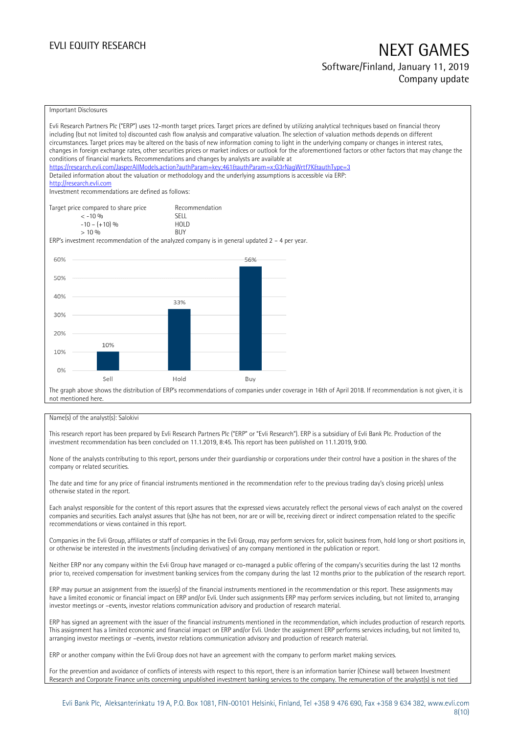## EVLI EQUITY RESEARCH NEXT GAMES Software/Finland, January 11, 2019

# Company update

### Important Disclosures

|     | Evli Research Partners Plc ("ERP") uses 12-month target prices. Target prices are defined by utilizing analytical techniques based on financial theory<br>including (but not limited to) discounted cash flow analysis and comparative valuation. The selection of valuation methods depends on different<br>circumstances. Target prices may be altered on the basis of new information coming to light in the underlying company or changes in interest rates,<br>changes in foreign exchange rates, other securities prices or market indices or outlook for the aforementioned factors or other factors that may change the<br>conditions of financial markets. Recommendations and changes by analysts are available at<br>https://research.evli.com/JasperAllModels.action?authParam=key;461&tauthParam=x;G3rNaqWrtf7K&tauthType=3<br>Detailed information about the valuation or methodology and the underlying assumptions is accessible via ERP:<br>http://research.evli.com<br>Investment recommendations are defined as follows: |                           |     |  |  |
|-----|---------------------------------------------------------------------------------------------------------------------------------------------------------------------------------------------------------------------------------------------------------------------------------------------------------------------------------------------------------------------------------------------------------------------------------------------------------------------------------------------------------------------------------------------------------------------------------------------------------------------------------------------------------------------------------------------------------------------------------------------------------------------------------------------------------------------------------------------------------------------------------------------------------------------------------------------------------------------------------------------------------------------------------------------|---------------------------|-----|--|--|
|     | Target price compared to share price                                                                                                                                                                                                                                                                                                                                                                                                                                                                                                                                                                                                                                                                                                                                                                                                                                                                                                                                                                                                        | Recommendation            |     |  |  |
|     | $< -10\%$                                                                                                                                                                                                                                                                                                                                                                                                                                                                                                                                                                                                                                                                                                                                                                                                                                                                                                                                                                                                                                   | <b>SFII</b>               |     |  |  |
|     | $-10 - (+10)$ %<br>$> 10\%$                                                                                                                                                                                                                                                                                                                                                                                                                                                                                                                                                                                                                                                                                                                                                                                                                                                                                                                                                                                                                 | <b>HOLD</b><br><b>BUY</b> |     |  |  |
|     | ERP's investment recommendation of the analyzed company is in general updated $2 - 4$ per year.                                                                                                                                                                                                                                                                                                                                                                                                                                                                                                                                                                                                                                                                                                                                                                                                                                                                                                                                             |                           |     |  |  |
|     |                                                                                                                                                                                                                                                                                                                                                                                                                                                                                                                                                                                                                                                                                                                                                                                                                                                                                                                                                                                                                                             |                           |     |  |  |
| 60% |                                                                                                                                                                                                                                                                                                                                                                                                                                                                                                                                                                                                                                                                                                                                                                                                                                                                                                                                                                                                                                             |                           | 56% |  |  |
|     |                                                                                                                                                                                                                                                                                                                                                                                                                                                                                                                                                                                                                                                                                                                                                                                                                                                                                                                                                                                                                                             |                           |     |  |  |
| 50% |                                                                                                                                                                                                                                                                                                                                                                                                                                                                                                                                                                                                                                                                                                                                                                                                                                                                                                                                                                                                                                             |                           |     |  |  |
|     |                                                                                                                                                                                                                                                                                                                                                                                                                                                                                                                                                                                                                                                                                                                                                                                                                                                                                                                                                                                                                                             |                           |     |  |  |
| 40% |                                                                                                                                                                                                                                                                                                                                                                                                                                                                                                                                                                                                                                                                                                                                                                                                                                                                                                                                                                                                                                             |                           |     |  |  |
|     |                                                                                                                                                                                                                                                                                                                                                                                                                                                                                                                                                                                                                                                                                                                                                                                                                                                                                                                                                                                                                                             | 33%                       |     |  |  |
| 30% |                                                                                                                                                                                                                                                                                                                                                                                                                                                                                                                                                                                                                                                                                                                                                                                                                                                                                                                                                                                                                                             |                           |     |  |  |
|     |                                                                                                                                                                                                                                                                                                                                                                                                                                                                                                                                                                                                                                                                                                                                                                                                                                                                                                                                                                                                                                             |                           |     |  |  |
| 20% |                                                                                                                                                                                                                                                                                                                                                                                                                                                                                                                                                                                                                                                                                                                                                                                                                                                                                                                                                                                                                                             |                           |     |  |  |
|     | 10%                                                                                                                                                                                                                                                                                                                                                                                                                                                                                                                                                                                                                                                                                                                                                                                                                                                                                                                                                                                                                                         |                           |     |  |  |
| 10% |                                                                                                                                                                                                                                                                                                                                                                                                                                                                                                                                                                                                                                                                                                                                                                                                                                                                                                                                                                                                                                             |                           |     |  |  |
|     |                                                                                                                                                                                                                                                                                                                                                                                                                                                                                                                                                                                                                                                                                                                                                                                                                                                                                                                                                                                                                                             |                           |     |  |  |
| 0%  |                                                                                                                                                                                                                                                                                                                                                                                                                                                                                                                                                                                                                                                                                                                                                                                                                                                                                                                                                                                                                                             |                           |     |  |  |
|     | Sell                                                                                                                                                                                                                                                                                                                                                                                                                                                                                                                                                                                                                                                                                                                                                                                                                                                                                                                                                                                                                                        | Hold                      | Buy |  |  |
|     | The graph above shows the distribution of ERP's recommendations of companies under coverage in 16th of April 2018. If recommendation is not given, it is<br>not mentioned here                                                                                                                                                                                                                                                                                                                                                                                                                                                                                                                                                                                                                                                                                                                                                                                                                                                              |                           |     |  |  |

### Name(s) of the analyst(s): Salokivi

This research report has been prepared by Evli Research Partners Plc ("ERP" or "Evli Research"). ERP is a subsidiary of Evli Bank Plc. Production of the investment recommendation has been concluded on 11.1.2019, 8:45. This report has been published on 11.1.2019, 9:00.

None of the analysts contributing to this report, persons under their guardianship or corporations under their control have a position in the shares of the company or related securities.

The date and time for any price of financial instruments mentioned in the recommendation refer to the previous trading day's closing price(s) unless otherwise stated in the report.

Each analyst responsible for the content of this report assures that the expressed views accurately reflect the personal views of each analyst on the covered companies and securities. Each analyst assures that (s)he has not been, nor are or will be, receiving direct or indirect compensation related to the specific recommendations or views contained in this report.

Companies in the Evli Group, affiliates or staff of companies in the Evli Group, may perform services for, solicit business from, hold long or short positions in, or otherwise be interested in the investments (including derivatives) of any company mentioned in the publication or report.

Neither ERP nor any company within the Evli Group have managed or co-managed a public offering of the company's securities during the last 12 months prior to, received compensation for investment banking services from the company during the last 12 months prior to the publication of the research report.

ERP may pursue an assignment from the issuer(s) of the financial instruments mentioned in the recommendation or this report. These assignments may have a limited economic or financial impact on ERP and/or Evli. Under such assignments ERP may perform services including, but not limited to, arranging investor meetings or –events, investor relations communication advisory and production of research material.

ERP has signed an agreement with the issuer of the financial instruments mentioned in the recommendation, which includes production of research reports. This assignment has a limited economic and financial impact on ERP and/or Evli. Under the assignment ERP performs services including, but not limited to, arranging investor meetings or –events, investor relations communication advisory and production of research material.

ERP or another company within the Evli Group does not have an agreement with the company to perform market making services.

For the prevention and avoidance of conflicts of interests with respect to this report, there is an information barrier (Chinese wall) between Investment Research and Corporate Finance units concerning unpublished investment banking services to the company. The remuneration of the analyst(s) is not tied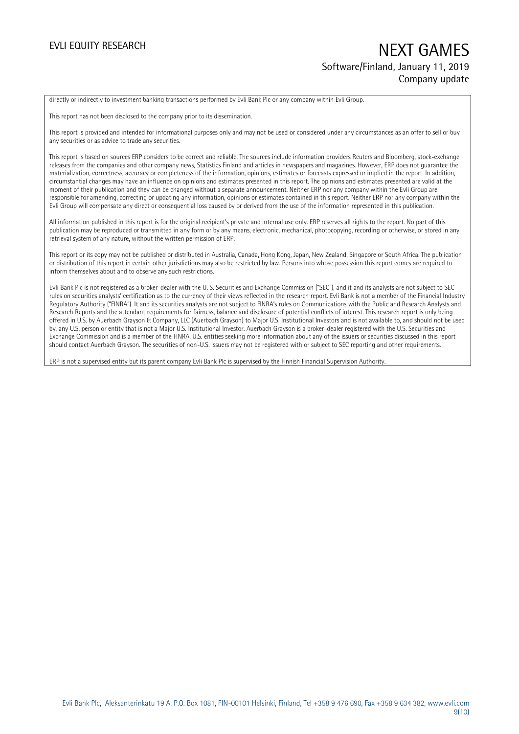## EVLI EQUITY RESEARCH NEXT GAMES Software/Finland, January 11, 2019 Company update

directly or indirectly to investment banking transactions performed by Evli Bank Plc or any company within Evli Group.

This report has not been disclosed to the company prior to its dissemination.

This report is provided and intended for informational purposes only and may not be used or considered under any circumstances as an offer to sell or buy any securities or as advice to trade any securities.

This report is based on sources ERP considers to be correct and reliable. The sources include information providers Reuters and Bloomberg, stock-exchange releases from the companies and other company news, Statistics Finland and articles in newspapers and magazines. However, ERP does not guarantee the materialization, correctness, accuracy or completeness of the information, opinions, estimates or forecasts expressed or implied in the report. In addition, circumstantial changes may have an influence on opinions and estimates presented in this report. The opinions and estimates presented are valid at the moment of their publication and they can be changed without a separate announcement. Neither ERP nor any company within the Evli Group are responsible for amending, correcting or updating any information, opinions or estimates contained in this report. Neither ERP nor any company within the Evli Group will compensate any direct or consequential loss caused by or derived from the use of the information represented in this publication.

All information published in this report is for the original recipient's private and internal use only. ERP reserves all rights to the report. No part of this publication may be reproduced or transmitted in any form or by any means, electronic, mechanical, photocopying, recording or otherwise, or stored in any retrieval system of any nature, without the written permission of ERP.

This report or its copy may not be published or distributed in Australia, Canada, Hong Kong, Japan, New Zealand, Singapore or South Africa. The publication or distribution of this report in certain other jurisdictions may also be restricted by law. Persons into whose possession this report comes are required to inform themselves about and to observe any such restrictions.

Evli Bank Plc is not registered as a broker-dealer with the U. S. Securities and Exchange Commission ("SEC"), and it and its analysts are not subject to SEC rules on securities analysts' certification as to the currency of their views reflected in the research report. Evli Bank is not a member of the Financial Industry Regulatory Authority ("FINRA"). It and its securities analysts are not subject to FINRA's rules on Communications with the Public and Research Analysts and Research Reports and the attendant requirements for fairness, balance and disclosure of potential conflicts of interest. This research report is only being offered in U.S. by Auerbach Grayson & Company, LLC (Auerbach Grayson) to Major U.S. Institutional Investors and is not available to, and should not be used by, any U.S. person or entity that is not a Major U.S. Institutional Investor. Auerbach Grayson is a broker-dealer registered with the U.S. Securities and Exchange Commission and is a member of the FINRA. U.S. entities seeking more information about any of the issuers or securities discussed in this report should contact Auerbach Grayson. The securities of non-U.S. issuers may not be registered with or subject to SEC reporting and other requirements.

ERP is not a supervised entity but its parent company Evli Bank Plc is supervised by the Finnish Financial Supervision Authority.